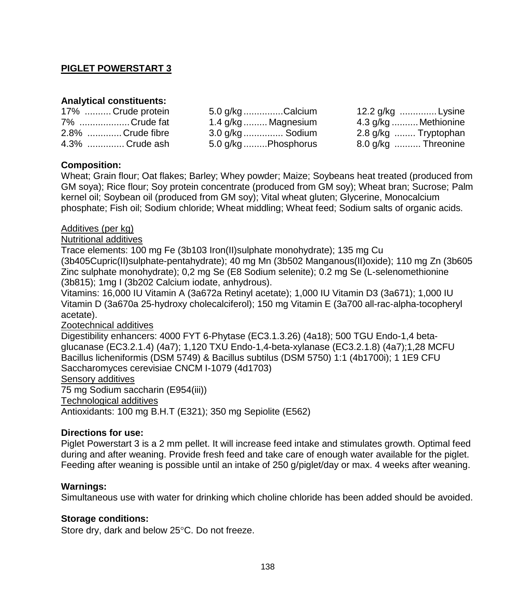# **PIGLET POWERSTART 3**

## **Analytical constituents:**

| 17%  Crude protein | 5.0 g/kg Calcium    | 12.2 g/kg Lysine     |
|--------------------|---------------------|----------------------|
| 7% Crude fat       | 1.4 g/kg  Magnesium | 4.3 g/kg  Methionine |
| 2.8% Crude fibre   | 3.0 g/kg  Sodium    | 2.8 g/kg  Tryptophan |
| 4.3% Crude ash     | 5.0 g/kg Phosphorus | 8.0 g/kg  Threonine  |

### **Composition:**

Wheat; Grain flour; Oat flakes; Barley; Whey powder; Maize; Soybeans heat treated (produced from GM soya); Rice flour; Soy protein concentrate (produced from GM soy); Wheat bran; Sucrose; Palm kernel oil; Soybean oil (produced from GM soy); Vital wheat gluten; Glycerine, Monocalcium phosphate; Fish oil; Sodium chloride; Wheat middling; Wheat feed; Sodium salts of organic acids.

### Additives (per kg)

Nutritional additives

Trace elements: 100 mg Fe (3b103 Iron(II)sulphate monohydrate); 135 mg Cu

(3b405Cupric(II)sulphate-pentahydrate); 40 mg Mn (3b502 Manganous(II)oxide); 110 mg Zn (3b605 Zinc sulphate monohydrate); 0,2 mg Se (E8 Sodium selenite); 0.2 mg Se (L-selenomethionine (3b815); 1mg I (3b202 Calcium iodate, anhydrous).

Vitamins: 16,000 IU Vitamin A (3a672a Retinyl acetate); 1,000 IU Vitamin D3 (3a671); 1,000 IU Vitamin D (3a670a 25-hydroxy cholecalciferol); 150 mg Vitamin E (3a700 all-rac-alpha-tocopheryl acetate).

### Zootechnical additives

Digestibility enhancers: 4000 FYT 6-Phytase (EC3.1.3.26) (4a18); 500 TGU Endo-1,4 betaglucanase (EC3.2.1.4) (4a7); 1,120 TXU Endo-1,4-beta-xylanase (EC3.2.1.8) (4a7);1,28 MCFU Bacillus licheniformis (DSM 5749) & Bacillus subtilus (DSM 5750) 1:1 (4b1700i); 1 1E9 CFU Saccharomyces cerevisiae CNCM I-1079 (4d1703)

#### Sensory additives

75 mg Sodium saccharin (E954(iii))

Technological additives

Antioxidants: 100 mg B.H.T (E321); 350 mg Sepiolite (E562)

### **Directions for use:**

Piglet Powerstart 3 is a 2 mm pellet. It will increase feed intake and stimulates growth. Optimal feed during and after weaning. Provide fresh feed and take care of enough water available for the piglet. Feeding after weaning is possible until an intake of 250 g/piglet/day or max. 4 weeks after weaning.

### **Warnings:**

Simultaneous use with water for drinking which choline chloride has been added should be avoided.

### **Storage conditions:**

Store dry, dark and below 25°C. Do not freeze.